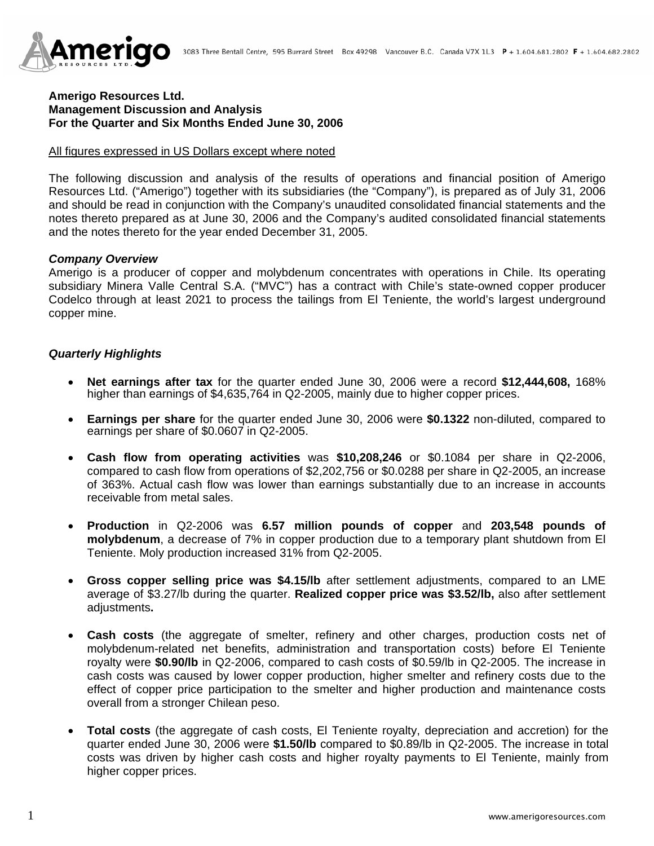

## **Amerigo Resources Ltd. Management Discussion and Analysis For the Quarter and Six Months Ended June 30, 2006**

#### All figures expressed in US Dollars except where noted

The following discussion and analysis of the results of operations and financial position of Amerigo Resources Ltd. ("Amerigo") together with its subsidiaries (the "Company"), is prepared as of July 31, 2006 and should be read in conjunction with the Company's unaudited consolidated financial statements and the notes thereto prepared as at June 30, 2006 and the Company's audited consolidated financial statements and the notes thereto for the year ended December 31, 2005.

#### *Company Overview*

Amerigo is a producer of copper and molybdenum concentrates with operations in Chile. Its operating subsidiary Minera Valle Central S.A. ("MVC") has a contract with Chile's state-owned copper producer Codelco through at least 2021 to process the tailings from El Teniente, the world's largest underground copper mine.

## *Quarterly Highlights*

- **Net earnings after tax** for the quarter ended June 30, 2006 were a record **\$12,444,608,** 168% higher than earnings of \$4,635,764 in Q2-2005, mainly due to higher copper prices.
- **Earnings per share** for the quarter ended June 30, 2006 were **\$0.1322** non-diluted, compared to earnings per share of \$0.0607 in Q2-2005.
- **Cash flow from operating activities** was **\$10,208,246** or \$0.1084 per share in Q2-2006, compared to cash flow from operations of \$2,202,756 or \$0.0288 per share in Q2-2005, an increase of 363%. Actual cash flow was lower than earnings substantially due to an increase in accounts receivable from metal sales.
- **Production** in Q2-2006 was **6.57 million pounds of copper** and **203,548 pounds of molybdenum**, a decrease of 7% in copper production due to a temporary plant shutdown from El Teniente. Moly production increased 31% from Q2-2005.
- **Gross copper selling price was \$4.15/lb** after settlement adjustments, compared to an LME average of \$3.27/lb during the quarter. **Realized copper price was \$3.52/lb,** also after settlement adjustments**.**
- **Cash costs** (the aggregate of smelter, refinery and other charges, production costs net of molybdenum-related net benefits, administration and transportation costs) before El Teniente royalty were **\$0.90/lb** in Q2-2006, compared to cash costs of \$0.59/lb in Q2-2005. The increase in cash costs was caused by lower copper production, higher smelter and refinery costs due to the effect of copper price participation to the smelter and higher production and maintenance costs overall from a stronger Chilean peso.
- **Total costs** (the aggregate of cash costs, El Teniente royalty, depreciation and accretion) for the quarter ended June 30, 2006 were **\$1.50/lb** compared to \$0.89/lb in Q2-2005. The increase in total costs was driven by higher cash costs and higher royalty payments to El Teniente, mainly from higher copper prices.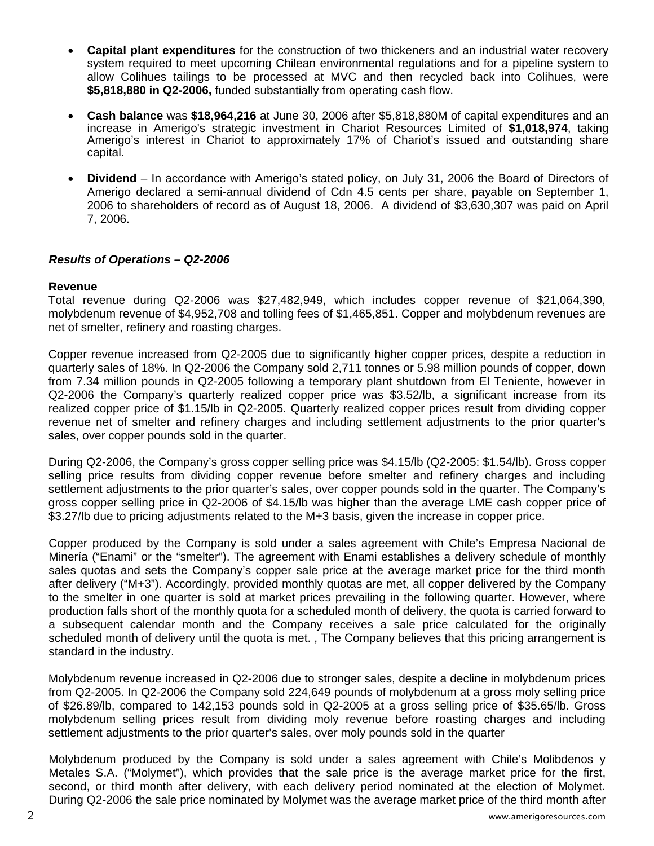- **Capital plant expenditures** for the construction of two thickeners and an industrial water recovery system required to meet upcoming Chilean environmental regulations and for a pipeline system to allow Colihues tailings to be processed at MVC and then recycled back into Colihues, were **\$5,818,880 in Q2-2006,** funded substantially from operating cash flow.
- **Cash balance** was **\$18,964,216** at June 30, 2006 after \$5,818,880M of capital expenditures and an increase in Amerigo's strategic investment in Chariot Resources Limited of **\$1,018,974**, taking Amerigo's interest in Chariot to approximately 17% of Chariot's issued and outstanding share capital.
- **Dividend**  In accordance with Amerigo's stated policy, on July 31, 2006 the Board of Directors of Amerigo declared a semi-annual dividend of Cdn 4.5 cents per share, payable on September 1, 2006 to shareholders of record as of August 18, 2006. A dividend of \$3,630,307 was paid on April 7, 2006.

## *Results of Operations – Q2-2006*

## **Revenue**

Total revenue during Q2-2006 was \$27,482,949, which includes copper revenue of \$21,064,390, molybdenum revenue of \$4,952,708 and tolling fees of \$1,465,851. Copper and molybdenum revenues are net of smelter, refinery and roasting charges.

Copper revenue increased from Q2-2005 due to significantly higher copper prices, despite a reduction in quarterly sales of 18%. In Q2-2006 the Company sold 2,711 tonnes or 5.98 million pounds of copper, down from 7.34 million pounds in Q2-2005 following a temporary plant shutdown from El Teniente, however in Q2-2006 the Company's quarterly realized copper price was \$3.52/lb, a significant increase from its realized copper price of \$1.15/lb in Q2-2005. Quarterly realized copper prices result from dividing copper revenue net of smelter and refinery charges and including settlement adjustments to the prior quarter's sales, over copper pounds sold in the quarter.

During Q2-2006, the Company's gross copper selling price was \$4.15/lb (Q2-2005: \$1.54/lb). Gross copper selling price results from dividing copper revenue before smelter and refinery charges and including settlement adjustments to the prior quarter's sales, over copper pounds sold in the quarter. The Company's gross copper selling price in Q2-2006 of \$4.15/lb was higher than the average LME cash copper price of \$3.27/lb due to pricing adjustments related to the M+3 basis, given the increase in copper price.

Copper produced by the Company is sold under a sales agreement with Chile's Empresa Nacional de Minería ("Enami" or the "smelter"). The agreement with Enami establishes a delivery schedule of monthly sales quotas and sets the Company's copper sale price at the average market price for the third month after delivery ("M+3"). Accordingly, provided monthly quotas are met, all copper delivered by the Company to the smelter in one quarter is sold at market prices prevailing in the following quarter. However, where production falls short of the monthly quota for a scheduled month of delivery, the quota is carried forward to a subsequent calendar month and the Company receives a sale price calculated for the originally scheduled month of delivery until the quota is met., The Company believes that this pricing arrangement is standard in the industry.

Molybdenum revenue increased in Q2-2006 due to stronger sales, despite a decline in molybdenum prices from Q2-2005. In Q2-2006 the Company sold 224,649 pounds of molybdenum at a gross moly selling price of \$26.89/lb, compared to 142,153 pounds sold in Q2-2005 at a gross selling price of \$35.65/lb. Gross molybdenum selling prices result from dividing moly revenue before roasting charges and including settlement adjustments to the prior quarter's sales, over moly pounds sold in the quarter

Molybdenum produced by the Company is sold under a sales agreement with Chile's Molibdenos y Metales S.A. ("Molymet"), which provides that the sale price is the average market price for the first, second, or third month after delivery, with each delivery period nominated at the election of Molymet. During Q2-2006 the sale price nominated by Molymet was the average market price of the third month after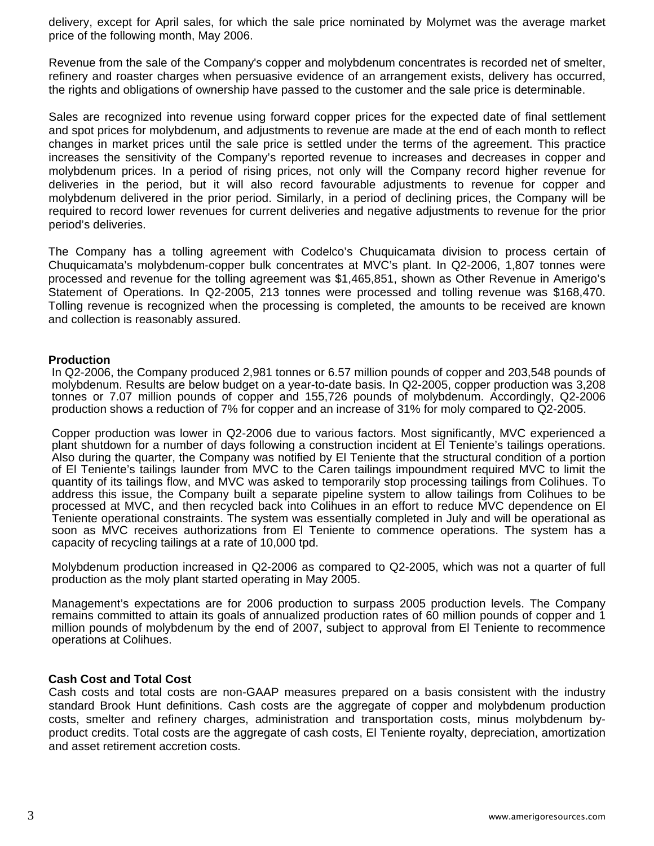delivery, except for April sales, for which the sale price nominated by Molymet was the average market price of the following month, May 2006.

Revenue from the sale of the Company's copper and molybdenum concentrates is recorded net of smelter, refinery and roaster charges when persuasive evidence of an arrangement exists, delivery has occurred, the rights and obligations of ownership have passed to the customer and the sale price is determinable.

Sales are recognized into revenue using forward copper prices for the expected date of final settlement and spot prices for molybdenum, and adjustments to revenue are made at the end of each month to reflect changes in market prices until the sale price is settled under the terms of the agreement. This practice increases the sensitivity of the Company's reported revenue to increases and decreases in copper and molybdenum prices. In a period of rising prices, not only will the Company record higher revenue for deliveries in the period, but it will also record favourable adjustments to revenue for copper and molybdenum delivered in the prior period. Similarly, in a period of declining prices, the Company will be required to record lower revenues for current deliveries and negative adjustments to revenue for the prior period's deliveries.

The Company has a tolling agreement with Codelco's Chuquicamata division to process certain of Chuquicamata's molybdenum-copper bulk concentrates at MVC's plant. In Q2-2006, 1,807 tonnes were processed and revenue for the tolling agreement was \$1,465,851, shown as Other Revenue in Amerigo's Statement of Operations. In Q2-2005, 213 tonnes were processed and tolling revenue was \$168,470. Tolling revenue is recognized when the processing is completed, the amounts to be received are known and collection is reasonably assured.

#### **Production**

In Q2-2006, the Company produced 2,981 tonnes or 6.57 million pounds of copper and 203,548 pounds of molybdenum. Results are below budget on a year-to-date basis. In Q2-2005, copper production was 3,208 tonnes or 7.07 million pounds of copper and 155,726 pounds of molybdenum. Accordingly, Q2-2006 production shows a reduction of 7% for copper and an increase of 31% for moly compared to Q2-2005.

Copper production was lower in Q2-2006 due to various factors. Most significantly, MVC experienced a plant shutdown for a number of days following a construction incident at El Teniente's tailings operations. Also during the quarter, the Company was notified by El Teniente that the structural condition of a portion of El Teniente's tailings launder from MVC to the Caren tailings impoundment required MVC to limit the quantity of its tailings flow, and MVC was asked to temporarily stop processing tailings from Colihues. To address this issue, the Company built a separate pipeline system to allow tailings from Colihues to be processed at MVC, and then recycled back into Colihues in an effort to reduce MVC dependence on El Teniente operational constraints. The system was essentially completed in July and will be operational as soon as MVC receives authorizations from El Teniente to commence operations. The system has a capacity of recycling tailings at a rate of 10,000 tpd.

Molybdenum production increased in Q2-2006 as compared to Q2-2005, which was not a quarter of full production as the moly plant started operating in May 2005.

Management's expectations are for 2006 production to surpass 2005 production levels. The Company remains committed to attain its goals of annualized production rates of 60 million pounds of copper and 1 million pounds of molybdenum by the end of 2007, subject to approval from El Teniente to recommence operations at Colihues.

## **Cash Cost and Total Cost**

Cash costs and total costs are non-GAAP measures prepared on a basis consistent with the industry standard Brook Hunt definitions. Cash costs are the aggregate of copper and molybdenum production costs, smelter and refinery charges, administration and transportation costs, minus molybdenum byproduct credits. Total costs are the aggregate of cash costs, El Teniente royalty, depreciation, amortization and asset retirement accretion costs.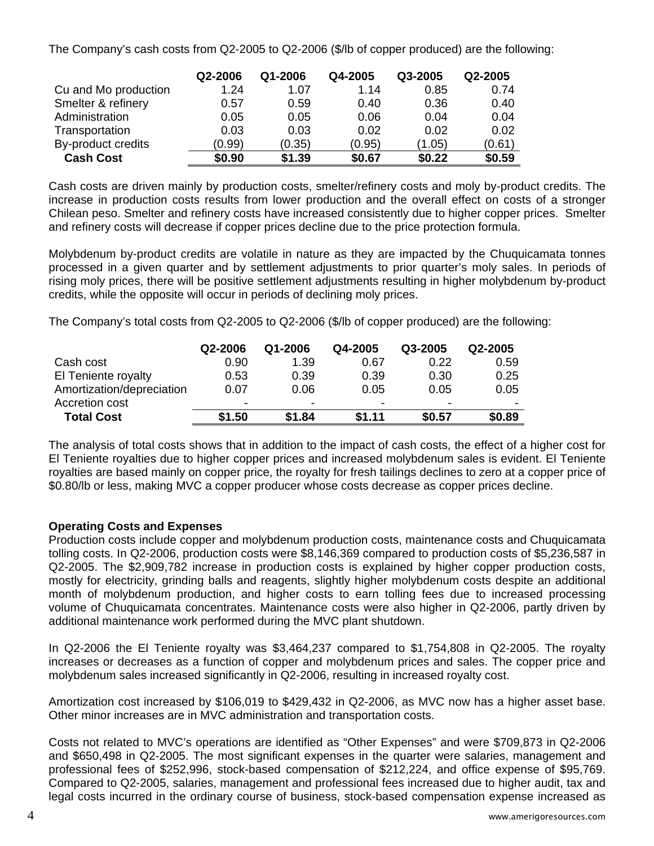The Company's cash costs from Q2-2005 to Q2-2006 (\$/lb of copper produced) are the following:

|                      | Q2-2006 | Q1-2006 | Q4-2005 | Q3-2005 | Q2-2005 |
|----------------------|---------|---------|---------|---------|---------|
| Cu and Mo production | 1.24    | 1.07    | 1.14    | 0.85    | 0.74    |
| Smelter & refinery   | 0.57    | 0.59    | 0.40    | 0.36    | 0.40    |
| Administration       | 0.05    | 0.05    | 0.06    | 0.04    | 0.04    |
| Transportation       | 0.03    | 0.03    | 0.02    | 0.02    | 0.02    |
| By-product credits   | (0.99)  | (0.35)  | (0.95)  | (1.05)  | (0.61)  |
| <b>Cash Cost</b>     | \$0.90  | \$1.39  | \$0.67  | \$0.22  | \$0.59  |

Cash costs are driven mainly by production costs, smelter/refinery costs and moly by-product credits. The increase in production costs results from lower production and the overall effect on costs of a stronger Chilean peso. Smelter and refinery costs have increased consistently due to higher copper prices. Smelter and refinery costs will decrease if copper prices decline due to the price protection formula.

Molybdenum by-product credits are volatile in nature as they are impacted by the Chuquicamata tonnes processed in a given quarter and by settlement adjustments to prior quarter's moly sales. In periods of rising moly prices, there will be positive settlement adjustments resulting in higher molybdenum by-product credits, while the opposite will occur in periods of declining moly prices.

The Company's total costs from Q2-2005 to Q2-2006 (\$/lb of copper produced) are the following:

|                           | Q2-2006                  | Q1-2006 | Q4-2005                  | Q3-2005                  | Q2-2005                  |
|---------------------------|--------------------------|---------|--------------------------|--------------------------|--------------------------|
| Cash cost                 | 0.90                     | 1.39    | 0.67                     | 0.22                     | 0.59                     |
| El Teniente royalty       | 0.53                     | 0.39    | 0.39                     | 0.30                     | 0.25                     |
| Amortization/depreciation | 0.07                     | 0.06    | 0.05                     | 0.05                     | 0.05                     |
| Accretion cost            | $\overline{\phantom{0}}$ | -       | $\overline{\phantom{0}}$ | $\overline{\phantom{0}}$ | $\overline{\phantom{0}}$ |
| <b>Total Cost</b>         | \$1.50                   | \$1.84  | \$1.11                   | \$0.57                   | \$0.89                   |

The analysis of total costs shows that in addition to the impact of cash costs, the effect of a higher cost for El Teniente royalties due to higher copper prices and increased molybdenum sales is evident. El Teniente royalties are based mainly on copper price, the royalty for fresh tailings declines to zero at a copper price of \$0.80/lb or less, making MVC a copper producer whose costs decrease as copper prices decline.

# **Operating Costs and Expenses**

Production costs include copper and molybdenum production costs, maintenance costs and Chuquicamata tolling costs. In Q2-2006, production costs were \$8,146,369 compared to production costs of \$5,236,587 in Q2-2005. The \$2,909,782 increase in production costs is explained by higher copper production costs, mostly for electricity, grinding balls and reagents, slightly higher molybdenum costs despite an additional month of molybdenum production, and higher costs to earn tolling fees due to increased processing volume of Chuquicamata concentrates. Maintenance costs were also higher in Q2-2006, partly driven by additional maintenance work performed during the MVC plant shutdown.

In Q2-2006 the El Teniente royalty was \$3,464,237 compared to \$1,754,808 in Q2-2005. The royalty increases or decreases as a function of copper and molybdenum prices and sales. The copper price and molybdenum sales increased significantly in Q2-2006, resulting in increased royalty cost.

Amortization cost increased by \$106,019 to \$429,432 in Q2-2006, as MVC now has a higher asset base. Other minor increases are in MVC administration and transportation costs.

Costs not related to MVC's operations are identified as "Other Expenses" and were \$709,873 in Q2-2006 and \$650,498 in Q2-2005. The most significant expenses in the quarter were salaries, management and professional fees of \$252,996, stock-based compensation of \$212,224, and office expense of \$95,769. Compared to Q2-2005, salaries, management and professional fees increased due to higher audit, tax and legal costs incurred in the ordinary course of business, stock-based compensation expense increased as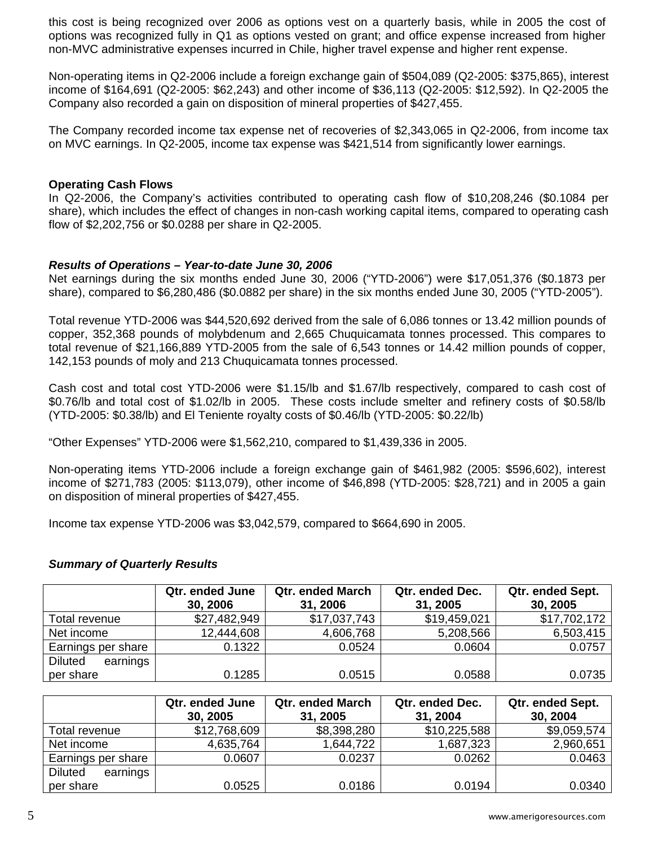this cost is being recognized over 2006 as options vest on a quarterly basis, while in 2005 the cost of options was recognized fully in Q1 as options vested on grant; and office expense increased from higher non-MVC administrative expenses incurred in Chile, higher travel expense and higher rent expense.

Non-operating items in Q2-2006 include a foreign exchange gain of \$504,089 (Q2-2005: \$375,865), interest income of \$164,691 (Q2-2005: \$62,243) and other income of \$36,113 (Q2-2005: \$12,592). In Q2-2005 the Company also recorded a gain on disposition of mineral properties of \$427,455.

The Company recorded income tax expense net of recoveries of \$2,343,065 in Q2-2006, from income tax on MVC earnings. In Q2-2005, income tax expense was \$421,514 from significantly lower earnings.

## **Operating Cash Flows**

In Q2-2006, the Company's activities contributed to operating cash flow of \$10,208,246 (\$0.1084 per share), which includes the effect of changes in non-cash working capital items, compared to operating cash flow of \$2,202,756 or \$0.0288 per share in Q2-2005.

## *Results of Operations – Year-to-date June 30, 2006*

Net earnings during the six months ended June 30, 2006 ("YTD-2006") were \$17,051,376 (\$0.1873 per share), compared to \$6,280,486 (\$0.0882 per share) in the six months ended June 30, 2005 ("YTD-2005").

Total revenue YTD-2006 was \$44,520,692 derived from the sale of 6,086 tonnes or 13.42 million pounds of copper, 352,368 pounds of molybdenum and 2,665 Chuquicamata tonnes processed. This compares to total revenue of \$21,166,889 YTD-2005 from the sale of 6,543 tonnes or 14.42 million pounds of copper, 142,153 pounds of moly and 213 Chuquicamata tonnes processed.

Cash cost and total cost YTD-2006 were \$1.15/lb and \$1.67/lb respectively, compared to cash cost of \$0.76/lb and total cost of \$1.02/lb in 2005. These costs include smelter and refinery costs of \$0.58/lb (YTD-2005: \$0.38/lb) and El Teniente royalty costs of \$0.46/lb (YTD-2005: \$0.22/lb)

"Other Expenses" YTD-2006 were \$1,562,210, compared to \$1,439,336 in 2005.

Non-operating items YTD-2006 include a foreign exchange gain of \$461,982 (2005: \$596,602), interest income of \$271,783 (2005: \$113,079), other income of \$46,898 (YTD-2005: \$28,721) and in 2005 a gain on disposition of mineral properties of \$427,455.

Income tax expense YTD-2006 was \$3,042,579, compared to \$664,690 in 2005.

# *Summary of Quarterly Results*

|                            | Qtr. ended June<br>30, 2006 | <b>Qtr. ended March</b><br>31, 2006 | Qtr. ended Dec.<br>31, 2005 | Qtr. ended Sept.<br>30, 2005 |
|----------------------------|-----------------------------|-------------------------------------|-----------------------------|------------------------------|
| Total revenue              | \$27,482,949                | \$17,037,743                        | \$19,459,021                | \$17,702,172                 |
| Net income                 | 12,444,608                  | 4,606,768                           | 5,208,566                   | 6,503,415                    |
| Earnings per share         | 0.1322                      | 0.0524                              | 0.0604                      | 0.0757                       |
| <b>Diluted</b><br>earnings |                             |                                     |                             |                              |
| per share                  | 0.1285                      | 0.0515                              | 0.0588                      | 0.0735                       |

|                            | Qtr. ended June<br>30, 2005 | <b>Qtr. ended March</b><br>31, 2005 | Qtr. ended Dec.<br>31, 2004 | Qtr. ended Sept.<br>30, 2004 |
|----------------------------|-----------------------------|-------------------------------------|-----------------------------|------------------------------|
| Total revenue              | \$12,768,609                | \$8,398,280                         | \$10,225,588                | \$9,059,574                  |
| Net income                 | 4,635,764                   | 1,644,722                           | 1,687,323                   | 2,960,651                    |
| Earnings per share         | 0.0607                      | 0.0237                              | 0.0262                      | 0.0463                       |
| <b>Diluted</b><br>earnings |                             |                                     |                             |                              |
| per share                  | 0.0525                      | 0.0186                              | 0.0194                      | 0.0340                       |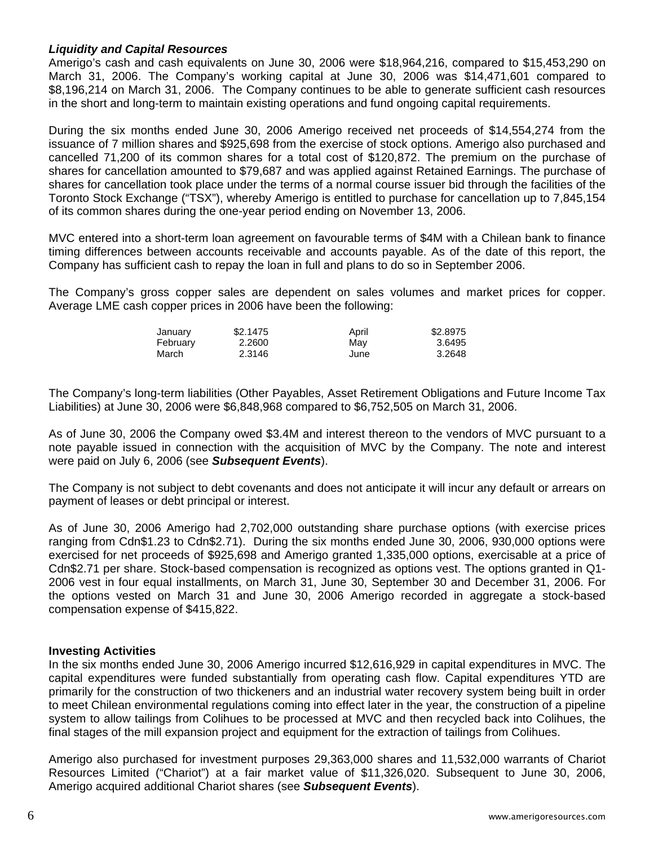# *Liquidity and Capital Resources*

Amerigo's cash and cash equivalents on June 30, 2006 were \$18,964,216, compared to \$15,453,290 on March 31, 2006. The Company's working capital at June 30, 2006 was \$14,471,601 compared to \$8,196,214 on March 31, 2006. The Company continues to be able to generate sufficient cash resources in the short and long-term to maintain existing operations and fund ongoing capital requirements.

During the six months ended June 30, 2006 Amerigo received net proceeds of \$14,554,274 from the issuance of 7 million shares and \$925,698 from the exercise of stock options. Amerigo also purchased and cancelled 71,200 of its common shares for a total cost of \$120,872. The premium on the purchase of shares for cancellation amounted to \$79,687 and was applied against Retained Earnings. The purchase of shares for cancellation took place under the terms of a normal course issuer bid through the facilities of the Toronto Stock Exchange ("TSX"), whereby Amerigo is entitled to purchase for cancellation up to 7,845,154 of its common shares during the one-year period ending on November 13, 2006.

MVC entered into a short-term loan agreement on favourable terms of \$4M with a Chilean bank to finance timing differences between accounts receivable and accounts payable. As of the date of this report, the Company has sufficient cash to repay the loan in full and plans to do so in September 2006.

The Company's gross copper sales are dependent on sales volumes and market prices for copper. Average LME cash copper prices in 2006 have been the following:

| January  | \$2.1475 | April | \$2,8975 |
|----------|----------|-------|----------|
| February | 2.2600   | Mav   | 3.6495   |
| March    | 2.3146   | June  | 3.2648   |

The Company's long-term liabilities (Other Payables, Asset Retirement Obligations and Future Income Tax Liabilities) at June 30, 2006 were \$6,848,968 compared to \$6,752,505 on March 31, 2006.

As of June 30, 2006 the Company owed \$3.4M and interest thereon to the vendors of MVC pursuant to a note payable issued in connection with the acquisition of MVC by the Company. The note and interest were paid on July 6, 2006 (see *Subsequent Events*).

The Company is not subject to debt covenants and does not anticipate it will incur any default or arrears on payment of leases or debt principal or interest.

As of June 30, 2006 Amerigo had 2,702,000 outstanding share purchase options (with exercise prices ranging from Cdn\$1.23 to Cdn\$2.71). During the six months ended June 30, 2006, 930,000 options were exercised for net proceeds of \$925,698 and Amerigo granted 1,335,000 options, exercisable at a price of Cdn\$2.71 per share. Stock-based compensation is recognized as options vest. The options granted in Q1- 2006 vest in four equal installments, on March 31, June 30, September 30 and December 31, 2006. For the options vested on March 31 and June 30, 2006 Amerigo recorded in aggregate a stock-based compensation expense of \$415,822.

# **Investing Activities**

In the six months ended June 30, 2006 Amerigo incurred \$12,616,929 in capital expenditures in MVC. The capital expenditures were funded substantially from operating cash flow. Capital expenditures YTD are primarily for the construction of two thickeners and an industrial water recovery system being built in order to meet Chilean environmental regulations coming into effect later in the year, the construction of a pipeline system to allow tailings from Colihues to be processed at MVC and then recycled back into Colihues, the final stages of the mill expansion project and equipment for the extraction of tailings from Colihues.

Amerigo also purchased for investment purposes 29,363,000 shares and 11,532,000 warrants of Chariot Resources Limited ("Chariot") at a fair market value of \$11,326,020. Subsequent to June 30, 2006, Amerigo acquired additional Chariot shares (see *Subsequent Events*).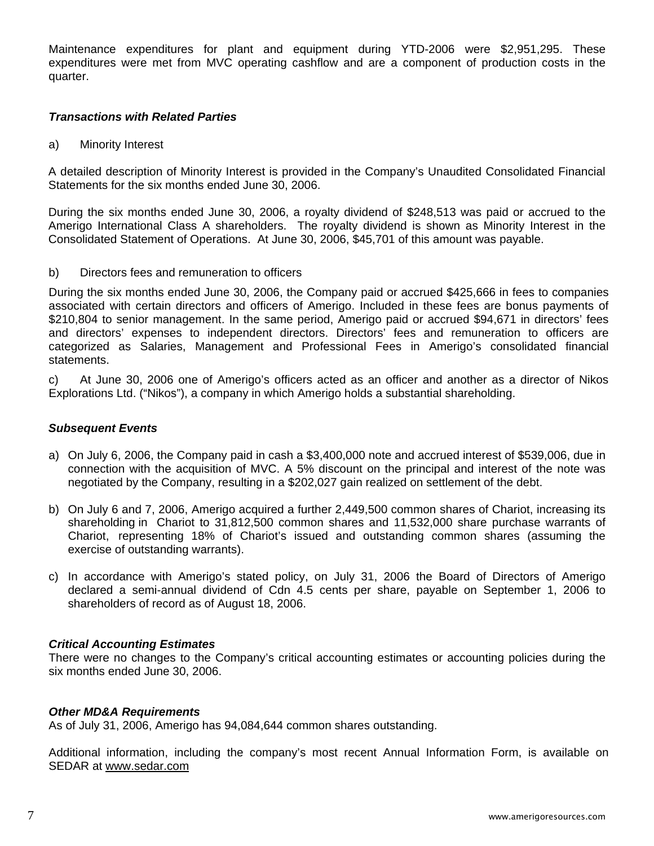Maintenance expenditures for plant and equipment during YTD-2006 were \$2,951,295. These expenditures were met from MVC operating cashflow and are a component of production costs in the quarter.

# *Transactions with Related Parties*

a) Minority Interest

A detailed description of Minority Interest is provided in the Company's Unaudited Consolidated Financial Statements for the six months ended June 30, 2006.

During the six months ended June 30, 2006, a royalty dividend of \$248,513 was paid or accrued to the Amerigo International Class A shareholders. The royalty dividend is shown as Minority Interest in the Consolidated Statement of Operations. At June 30, 2006, \$45,701 of this amount was payable.

b) Directors fees and remuneration to officers

During the six months ended June 30, 2006, the Company paid or accrued \$425,666 in fees to companies associated with certain directors and officers of Amerigo. Included in these fees are bonus payments of \$210,804 to senior management. In the same period, Amerigo paid or accrued \$94,671 in directors' fees and directors' expenses to independent directors. Directors' fees and remuneration to officers are categorized as Salaries, Management and Professional Fees in Amerigo's consolidated financial statements.

c) At June 30, 2006 one of Amerigo's officers acted as an officer and another as a director of Nikos Explorations Ltd. ("Nikos"), a company in which Amerigo holds a substantial shareholding.

## *Subsequent Events*

- a) On July 6, 2006, the Company paid in cash a \$3,400,000 note and accrued interest of \$539,006, due in connection with the acquisition of MVC. A 5% discount on the principal and interest of the note was negotiated by the Company, resulting in a \$202,027 gain realized on settlement of the debt.
- b) On July 6 and 7, 2006, Amerigo acquired a further 2,449,500 common shares of Chariot, increasing its shareholding in Chariot to 31,812,500 common shares and 11,532,000 share purchase warrants of Chariot, representing 18% of Chariot's issued and outstanding common shares (assuming the exercise of outstanding warrants).
- c) In accordance with Amerigo's stated policy, on July 31, 2006 the Board of Directors of Amerigo declared a semi-annual dividend of Cdn 4.5 cents per share, payable on September 1, 2006 to shareholders of record as of August 18, 2006.

# *Critical Accounting Estimates*

There were no changes to the Company's critical accounting estimates or accounting policies during the six months ended June 30, 2006.

# *Other MD&A Requirements*

As of July 31, 2006, Amerigo has 94,084,644 common shares outstanding.

Additional information, including the company's most recent Annual Information Form, is available on SEDAR at [www.sedar.com](http://www.sedar.com/)